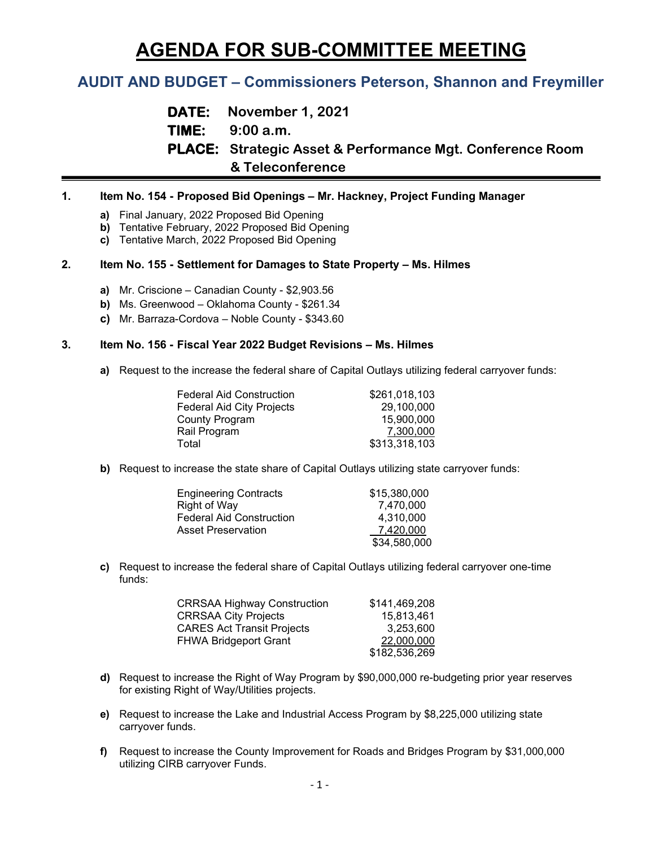# **AGENDA FOR SUB-COMMITTEE MEETING**

# **AUDIT AND BUDGET – Commissioners Peterson, Shannon and Freymiller**

**DATE: November 1, 2021 TIME: 9:00 a.m. PLACE: Strategic Asset & Performance Mgt. Conference Room & Teleconference**

# **1. Item No. 154 - Proposed Bid Openings – Mr. Hackney, Project Funding Manager**

- **a)** Final January, 2022 Proposed Bid Opening
- **b)** Tentative February, 2022 Proposed Bid Opening
- **c)** Tentative March, 2022 Proposed Bid Opening

## **2. Item No. 155 - Settlement for Damages to State Property – Ms. Hilmes**

- **a)** Mr. Criscione Canadian County \$2,903.56
- **b)** Ms. Greenwood Oklahoma County \$261.34
- **c)** Mr. Barraza-Cordova Noble County \$343.60

#### **3. Item No. 156 - Fiscal Year 2022 Budget Revisions – Ms. Hilmes**

**a)** Request to the increase the federal share of Capital Outlays utilizing federal carryover funds:

| <b>Federal Aid Construction</b>  | \$261,018,103 |
|----------------------------------|---------------|
| <b>Federal Aid City Projects</b> | 29,100,000    |
| County Program                   | 15,900,000    |
| Rail Program                     | 7,300,000     |
| Total                            | \$313,318,103 |

**b)** Request to increase the state share of Capital Outlays utilizing state carryover funds:

| <b>Engineering Contracts</b> | \$15,380,000 |
|------------------------------|--------------|
| Right of Way                 | 7.470.000    |
| Federal Aid Construction     | 4.310.000    |
| Asset Preservation           | 7,420,000    |
|                              | \$34,580,000 |

**c)** Request to increase the federal share of Capital Outlays utilizing federal carryover one-time funds:

| <b>CRRSAA Highway Construction</b> | \$141,469,208 |
|------------------------------------|---------------|
| <b>CRRSAA City Projects</b>        | 15,813,461    |
| <b>CARES Act Transit Projects</b>  | 3.253.600     |
| <b>FHWA Bridgeport Grant</b>       | 22,000,000    |
|                                    | \$182,536,269 |

- **d)** Request to increase the Right of Way Program by \$90,000,000 re-budgeting prior year reserves for existing Right of Way/Utilities projects.
- **e)** Request to increase the Lake and Industrial Access Program by \$8,225,000 utilizing state carryover funds.
- **f)** Request to increase the County Improvement for Roads and Bridges Program by \$31,000,000 utilizing CIRB carryover Funds.